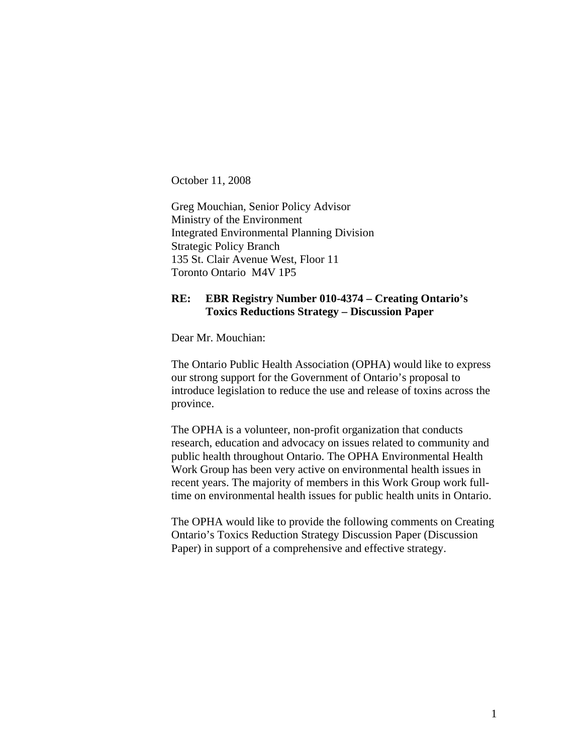October 11, 2008

Greg Mouchian, Senior Policy Advisor Ministry of the Environment Integrated Environmental Planning Division Strategic Policy Branch 135 St. Clair Avenue West, Floor 11 Toronto Ontario M4V 1P5

## **RE: EBR Registry Number 010-4374 – Creating Ontario's Toxics Reductions Strategy – Discussion Paper**

Dear Mr. Mouchian:

The Ontario Public Health Association (OPHA) would like to express our strong support for the Government of Ontario's proposal to introduce legislation to reduce the use and release of toxins across the province.

The OPHA is a volunteer, non-profit organization that conducts research, education and advocacy on issues related to community and public health throughout Ontario. The OPHA Environmental Health Work Group has been very active on environmental health issues in recent years. The majority of members in this Work Group work fulltime on environmental health issues for public health units in Ontario.

The OPHA would like to provide the following comments on Creating Ontario's Toxics Reduction Strategy Discussion Paper (Discussion Paper) in support of a comprehensive and effective strategy.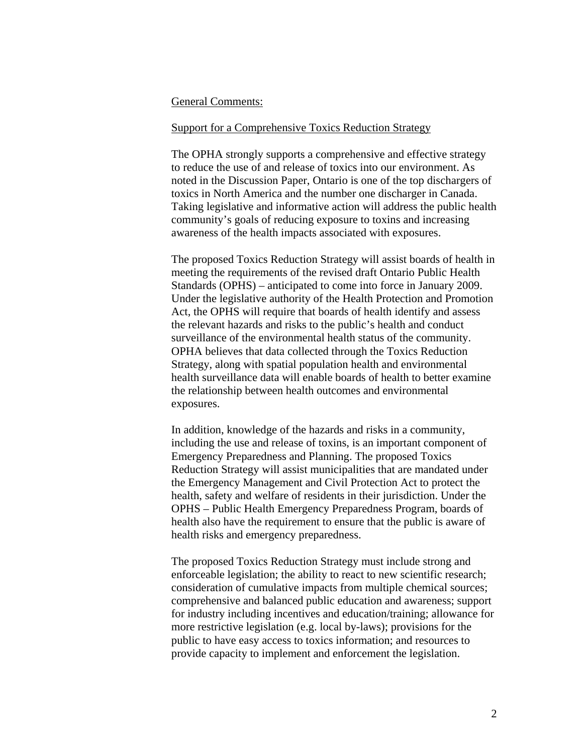#### General Comments:

#### Support for a Comprehensive Toxics Reduction Strategy

The OPHA strongly supports a comprehensive and effective strategy to reduce the use of and release of toxics into our environment. As noted in the Discussion Paper, Ontario is one of the top dischargers of toxics in North America and the number one discharger in Canada. Taking legislative and informative action will address the public health community's goals of reducing exposure to toxins and increasing awareness of the health impacts associated with exposures.

The proposed Toxics Reduction Strategy will assist boards of health in meeting the requirements of the revised draft Ontario Public Health Standards (OPHS) – anticipated to come into force in January 2009. Under the legislative authority of the Health Protection and Promotion Act, the OPHS will require that boards of health identify and assess the relevant hazards and risks to the public's health and conduct surveillance of the environmental health status of the community. OPHA believes that data collected through the Toxics Reduction Strategy, along with spatial population health and environmental health surveillance data will enable boards of health to better examine the relationship between health outcomes and environmental exposures.

In addition, knowledge of the hazards and risks in a community, including the use and release of toxins, is an important component of Emergency Preparedness and Planning. The proposed Toxics Reduction Strategy will assist municipalities that are mandated under the Emergency Management and Civil Protection Act to protect the health, safety and welfare of residents in their jurisdiction. Under the OPHS – Public Health Emergency Preparedness Program, boards of health also have the requirement to ensure that the public is aware of health risks and emergency preparedness.

The proposed Toxics Reduction Strategy must include strong and enforceable legislation; the ability to react to new scientific research; consideration of cumulative impacts from multiple chemical sources; comprehensive and balanced public education and awareness; support for industry including incentives and education/training; allowance for more restrictive legislation (e.g. local by-laws); provisions for the public to have easy access to toxics information; and resources to provide capacity to implement and enforcement the legislation.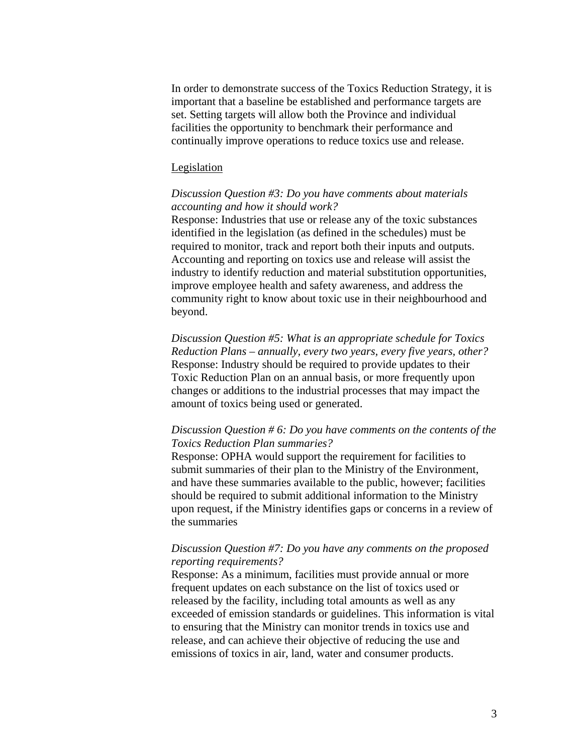In order to demonstrate success of the Toxics Reduction Strategy, it is important that a baseline be established and performance targets are set. Setting targets will allow both the Province and individual facilities the opportunity to benchmark their performance and continually improve operations to reduce toxics use and release.

#### Legislation

## *Discussion Question #3: Do you have comments about materials accounting and how it should work?*

Response: Industries that use or release any of the toxic substances identified in the legislation (as defined in the schedules) must be required to monitor, track and report both their inputs and outputs. Accounting and reporting on toxics use and release will assist the industry to identify reduction and material substitution opportunities, improve employee health and safety awareness, and address the community right to know about toxic use in their neighbourhood and beyond.

*Discussion Question #5: What is an appropriate schedule for Toxics Reduction Plans – annually, every two years, every five years, other?*  Response: Industry should be required to provide updates to their Toxic Reduction Plan on an annual basis, or more frequently upon changes or additions to the industrial processes that may impact the amount of toxics being used or generated.

### *Discussion Question # 6: Do you have comments on the contents of the Toxics Reduction Plan summaries?*

Response: OPHA would support the requirement for facilities to submit summaries of their plan to the Ministry of the Environment, and have these summaries available to the public, however; facilities should be required to submit additional information to the Ministry upon request, if the Ministry identifies gaps or concerns in a review of the summaries

#### *Discussion Question #7: Do you have any comments on the proposed reporting requirements?*

Response: As a minimum, facilities must provide annual or more frequent updates on each substance on the list of toxics used or released by the facility, including total amounts as well as any exceeded of emission standards or guidelines. This information is vital to ensuring that the Ministry can monitor trends in toxics use and release, and can achieve their objective of reducing the use and emissions of toxics in air, land, water and consumer products.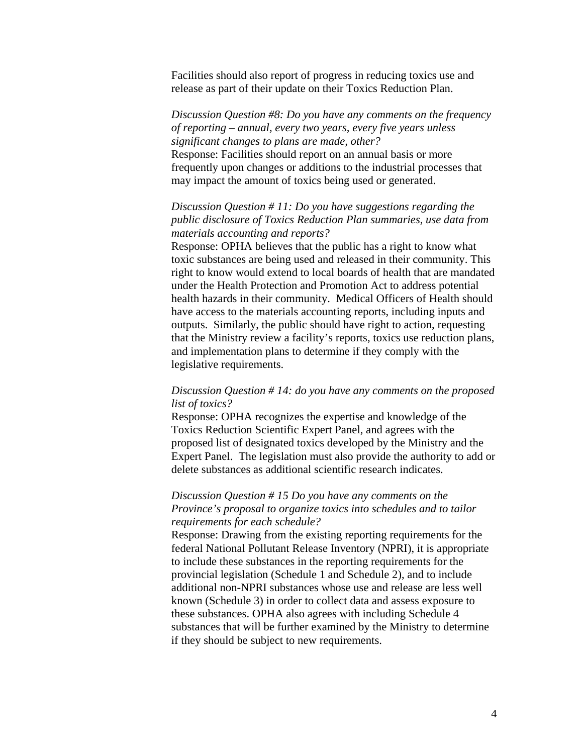Facilities should also report of progress in reducing toxics use and release as part of their update on their Toxics Reduction Plan.

# *Discussion Question #8: Do you have any comments on the frequency of reporting – annual, every two years, every five years unless significant changes to plans are made, other?*

Response: Facilities should report on an annual basis or more frequently upon changes or additions to the industrial processes that may impact the amount of toxics being used or generated.

## *Discussion Question # 11: Do you have suggestions regarding the public disclosure of Toxics Reduction Plan summaries, use data from materials accounting and reports?*

Response: OPHA believes that the public has a right to know what toxic substances are being used and released in their community. This right to know would extend to local boards of health that are mandated under the Health Protection and Promotion Act to address potential health hazards in their community. Medical Officers of Health should have access to the materials accounting reports, including inputs and outputs. Similarly, the public should have right to action, requesting that the Ministry review a facility's reports, toxics use reduction plans, and implementation plans to determine if they comply with the legislative requirements.

## *Discussion Question # 14: do you have any comments on the proposed list of toxics?*

Response: OPHA recognizes the expertise and knowledge of the Toxics Reduction Scientific Expert Panel, and agrees with the proposed list of designated toxics developed by the Ministry and the Expert Panel. The legislation must also provide the authority to add or delete substances as additional scientific research indicates.

## *Discussion Question # 15 Do you have any comments on the Province's proposal to organize toxics into schedules and to tailor requirements for each schedule?*

Response: Drawing from the existing reporting requirements for the federal National Pollutant Release Inventory (NPRI), it is appropriate to include these substances in the reporting requirements for the provincial legislation (Schedule 1 and Schedule 2), and to include additional non-NPRI substances whose use and release are less well known (Schedule 3) in order to collect data and assess exposure to these substances. OPHA also agrees with including Schedule 4 substances that will be further examined by the Ministry to determine if they should be subject to new requirements.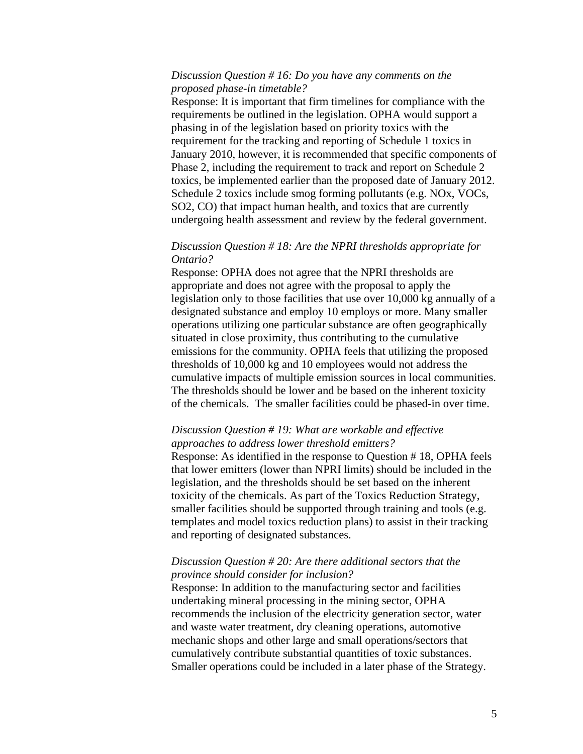### *Discussion Question # 16: Do you have any comments on the proposed phase-in timetable?*

Response: It is important that firm timelines for compliance with the requirements be outlined in the legislation. OPHA would support a phasing in of the legislation based on priority toxics with the requirement for the tracking and reporting of Schedule 1 toxics in January 2010, however, it is recommended that specific components of Phase 2, including the requirement to track and report on Schedule 2 toxics, be implemented earlier than the proposed date of January 2012. Schedule 2 toxics include smog forming pollutants (e.g. NOx, VOCs, SO2, CO) that impact human health, and toxics that are currently undergoing health assessment and review by the federal government.

### *Discussion Question # 18: Are the NPRI thresholds appropriate for Ontario?*

Response: OPHA does not agree that the NPRI thresholds are appropriate and does not agree with the proposal to apply the legislation only to those facilities that use over 10,000 kg annually of a designated substance and employ 10 employs or more. Many smaller operations utilizing one particular substance are often geographically situated in close proximity, thus contributing to the cumulative emissions for the community. OPHA feels that utilizing the proposed thresholds of 10,000 kg and 10 employees would not address the cumulative impacts of multiple emission sources in local communities. The thresholds should be lower and be based on the inherent toxicity of the chemicals. The smaller facilities could be phased-in over time.

## *Discussion Question # 19: What are workable and effective approaches to address lower threshold emitters?*

Response: As identified in the response to Question # 18, OPHA feels that lower emitters (lower than NPRI limits) should be included in the legislation, and the thresholds should be set based on the inherent toxicity of the chemicals. As part of the Toxics Reduction Strategy, smaller facilities should be supported through training and tools (e.g. templates and model toxics reduction plans) to assist in their tracking and reporting of designated substances.

### *Discussion Question # 20: Are there additional sectors that the province should consider for inclusion?*

Response: In addition to the manufacturing sector and facilities undertaking mineral processing in the mining sector, OPHA recommends the inclusion of the electricity generation sector, water and waste water treatment, dry cleaning operations, automotive mechanic shops and other large and small operations/sectors that cumulatively contribute substantial quantities of toxic substances. Smaller operations could be included in a later phase of the Strategy.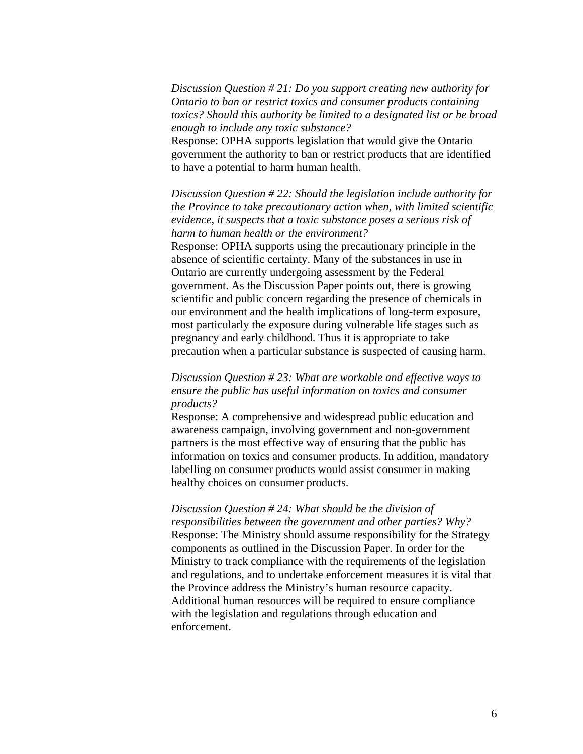*Discussion Question # 21: Do you support creating new authority for Ontario to ban or restrict toxics and consumer products containing toxics? Should this authority be limited to a designated list or be broad enough to include any toxic substance?* 

Response: OPHA supports legislation that would give the Ontario government the authority to ban or restrict products that are identified to have a potential to harm human health.

*Discussion Question # 22: Should the legislation include authority for the Province to take precautionary action when, with limited scientific evidence, it suspects that a toxic substance poses a serious risk of harm to human health or the environment?* 

Response: OPHA supports using the precautionary principle in the absence of scientific certainty. Many of the substances in use in Ontario are currently undergoing assessment by the Federal government. As the Discussion Paper points out, there is growing scientific and public concern regarding the presence of chemicals in our environment and the health implications of long-term exposure, most particularly the exposure during vulnerable life stages such as pregnancy and early childhood. Thus it is appropriate to take precaution when a particular substance is suspected of causing harm.

## *Discussion Question # 23: What are workable and effective ways to ensure the public has useful information on toxics and consumer products?*

Response: A comprehensive and widespread public education and awareness campaign, involving government and non-government partners is the most effective way of ensuring that the public has information on toxics and consumer products. In addition, mandatory labelling on consumer products would assist consumer in making healthy choices on consumer products.

*Discussion Question # 24: What should be the division of responsibilities between the government and other parties? Why?*  Response: The Ministry should assume responsibility for the Strategy components as outlined in the Discussion Paper. In order for the Ministry to track compliance with the requirements of the legislation and regulations, and to undertake enforcement measures it is vital that the Province address the Ministry's human resource capacity. Additional human resources will be required to ensure compliance with the legislation and regulations through education and enforcement.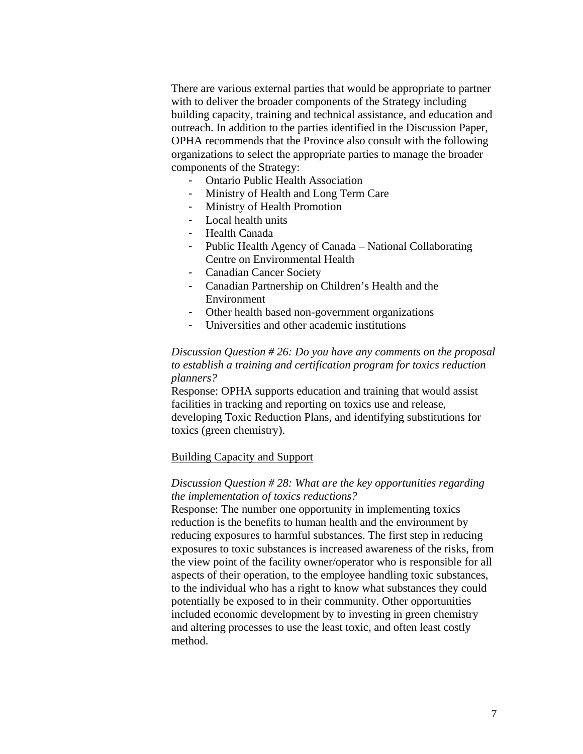There are various external parties that would be appropriate to partner with to deliver the broader components of the Strategy including building capacity, training and technical assistance, and education and outreach. In addition to the parties identified in the Discussion Paper, OPHA recommends that the Province also consult with the following organizations to select the appropriate parties to manage the broader components of the Strategy:

- Ontario Public Health Association
- Ministry of Health and Long Term Care
- Ministry of Health Promotion
- Local health units
- Health Canada
- Public Health Agency of Canada National Collaborating Centre on Environmental Health
- Canadian Cancer Society
- Canadian Partnership on Children's Health and the Environment
- Other health based non-government organizations
- Universities and other academic institutions

### *Discussion Question # 26: Do you have any comments on the proposal to establish a training and certification program for toxics reduction planners?*

Response: OPHA supports education and training that would assist facilities in tracking and reporting on toxics use and release, developing Toxic Reduction Plans, and identifying substitutions for toxics (green chemistry).

#### Building Capacity and Support

## *Discussion Question # 28: What are the key opportunities regarding the implementation of toxics reductions?*

Response: The number one opportunity in implementing toxics reduction is the benefits to human health and the environment by reducing exposures to harmful substances. The first step in reducing exposures to toxic substances is increased awareness of the risks, from the view point of the facility owner/operator who is responsible for all aspects of their operation, to the employee handling toxic substances, to the individual who has a right to know what substances they could potentially be exposed to in their community. Other opportunities included economic development by to investing in green chemistry and altering processes to use the least toxic, and often least costly method.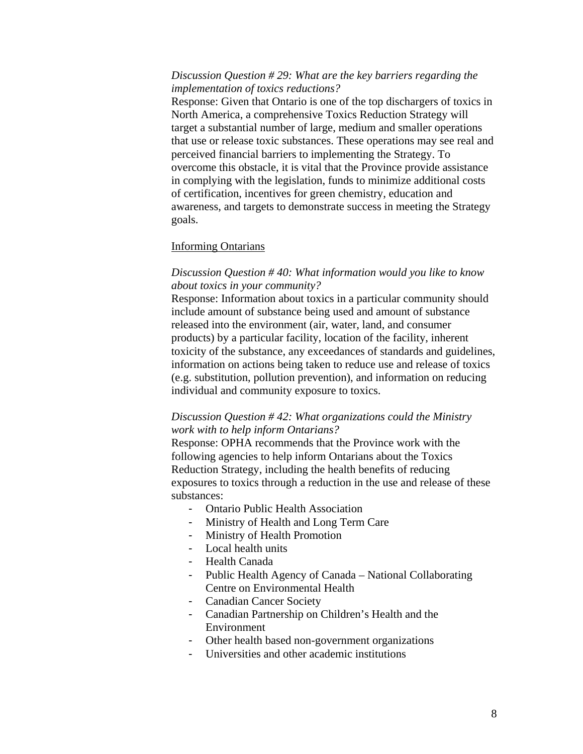### *Discussion Question # 29: What are the key barriers regarding the implementation of toxics reductions?*

Response: Given that Ontario is one of the top dischargers of toxics in North America, a comprehensive Toxics Reduction Strategy will target a substantial number of large, medium and smaller operations that use or release toxic substances. These operations may see real and perceived financial barriers to implementing the Strategy. To overcome this obstacle, it is vital that the Province provide assistance in complying with the legislation, funds to minimize additional costs of certification, incentives for green chemistry, education and awareness, and targets to demonstrate success in meeting the Strategy goals.

#### Informing Ontarians

### *Discussion Question # 40: What information would you like to know about toxics in your community?*

Response: Information about toxics in a particular community should include amount of substance being used and amount of substance released into the environment (air, water, land, and consumer products) by a particular facility, location of the facility, inherent toxicity of the substance, any exceedances of standards and guidelines, information on actions being taken to reduce use and release of toxics (e.g. substitution, pollution prevention), and information on reducing individual and community exposure to toxics.

#### *Discussion Question # 42: What organizations could the Ministry work with to help inform Ontarians?*

Response: OPHA recommends that the Province work with the following agencies to help inform Ontarians about the Toxics Reduction Strategy, including the health benefits of reducing exposures to toxics through a reduction in the use and release of these substances:

- Ontario Public Health Association
- Ministry of Health and Long Term Care
- Ministry of Health Promotion
- Local health units
- Health Canada
- Public Health Agency of Canada National Collaborating Centre on Environmental Health
- Canadian Cancer Society
- Canadian Partnership on Children's Health and the Environment
- Other health based non-government organizations
- Universities and other academic institutions